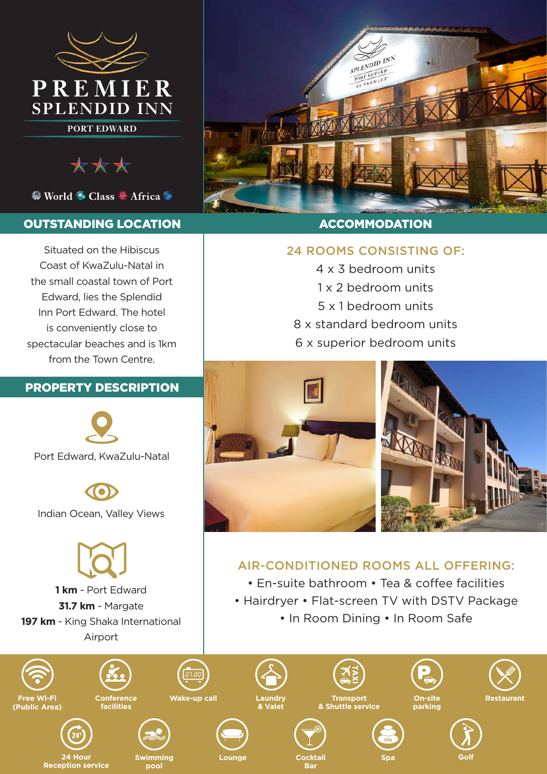

\*\*\*

<sup>●</sup> World ● Class ● Africa ●

### OUTSTANDING LOCATION

Situated on the Hibiscus Coast of KwaZulu-Natal in the small coastal town of Port Edward, lies the Splendid Inn Port Edward. The hotel is conveniently close to spectacular beaches and is 1km from the Town Centre.

# PROPERTY DESCRIPTION



Port Edward, KwaZulu-Natal

Indian Ocean, Valley Views



**1 km** - Port Edward **31.7 km** - Margate **197 km** - King Shaka International Airport



**Free Wi-Fi (Public Area)**



**Conference** 

**24 Hour Lounge Swimming Golf Reception service**







**Transport & Shuttle service**









**Wake-up call**

**Cocktail Bar**

24 ROOMS CONSISTING OF:

**ACCOMMODATION** 

SPLENDID INN  $\frac{SPL$ *ENDID*  $R \nvert R \nvert R \nvert R$ 

4 x 3 bedroom units 1 x 2 bedroom units

5 x 1 bedroom units

8 x standard bedroom units

6 x superior bedroom units

AIR-CONDITIONED ROOMS ALL OFFERING: • En-suite bathroom • Tea & coffee facilities • Hairdryer • Flat-screen TV with DSTV Package • In Room Dining • In Room Safe



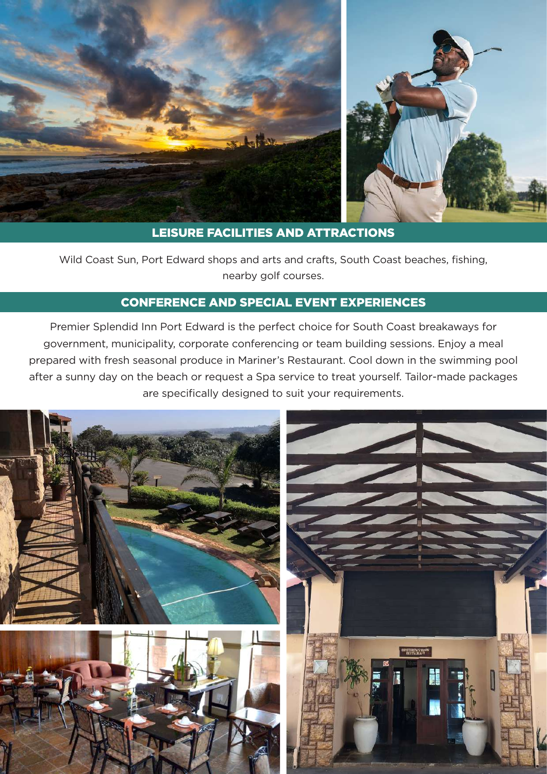

# LEISURE FACILITIES AND ATTRACTIONS

Wild Coast Sun, Port Edward shops and arts and crafts, South Coast beaches, fishing, nearby golf courses.

# CONFERENCE AND SPECIAL EVENT EXPERIENCES

Premier Splendid Inn Port Edward is the perfect choice for South Coast breakaways for government, municipality, corporate conferencing or team building sessions. Enjoy a meal prepared with fresh seasonal produce in Mariner's Restaurant. Cool down in the swimming pool after a sunny day on the beach or request a Spa service to treat yourself. Tailor-made packages are specifically designed to suit your requirements.